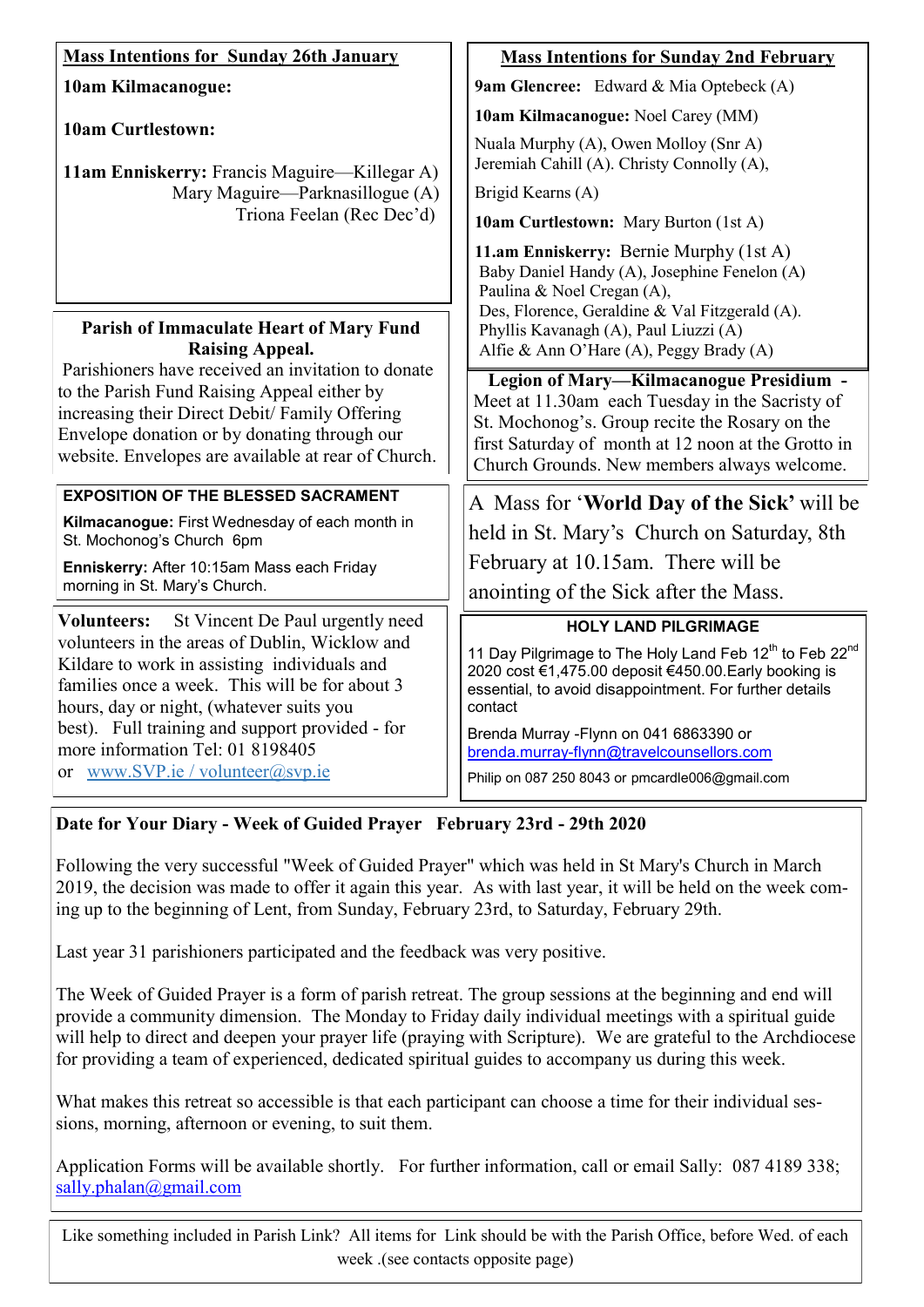| <b>Mass Intentions for Sunday 26th January</b>                                                                                                                                                                                                                                                                                                                                    | <b>Mass Intentions for Sunday 2nd February</b>                                                                                                                                                                                                     |  |
|-----------------------------------------------------------------------------------------------------------------------------------------------------------------------------------------------------------------------------------------------------------------------------------------------------------------------------------------------------------------------------------|----------------------------------------------------------------------------------------------------------------------------------------------------------------------------------------------------------------------------------------------------|--|
| 10am Kilmacanogue:                                                                                                                                                                                                                                                                                                                                                                | <b>9am Glencree:</b> Edward & Mia Optebeck (A)                                                                                                                                                                                                     |  |
| <b>10am Curtlestown:</b><br>11am Enniskerry: Francis Maguire—Killegar A)<br>Mary Maguire—Parknasillogue (A)<br>Triona Feelan (Rec Dec'd)                                                                                                                                                                                                                                          | 10am Kilmacanogue: Noel Carey (MM)                                                                                                                                                                                                                 |  |
|                                                                                                                                                                                                                                                                                                                                                                                   | Nuala Murphy (A), Owen Molloy (Snr A)<br>Jeremiah Cahill (A). Christy Connolly (A),                                                                                                                                                                |  |
|                                                                                                                                                                                                                                                                                                                                                                                   | Brigid Kearns (A)                                                                                                                                                                                                                                  |  |
|                                                                                                                                                                                                                                                                                                                                                                                   | <b>10am Curtlestown:</b> Mary Burton (1st A)                                                                                                                                                                                                       |  |
|                                                                                                                                                                                                                                                                                                                                                                                   | 11.am Enniskerry: Bernie Murphy (1st A)<br>Baby Daniel Handy (A), Josephine Fenelon (A)<br>Paulina & Noel Cregan (A),<br>Des, Florence, Geraldine & Val Fitzgerald (A).                                                                            |  |
| Parish of Immaculate Heart of Mary Fund<br><b>Raising Appeal.</b>                                                                                                                                                                                                                                                                                                                 | Phyllis Kavanagh (A), Paul Liuzzi (A)<br>Alfie & Ann O'Hare (A), Peggy Brady (A)                                                                                                                                                                   |  |
| Parishioners have received an invitation to donate<br>to the Parish Fund Raising Appeal either by<br>increasing their Direct Debit/ Family Offering<br>Envelope donation or by donating through our<br>website. Envelopes are available at rear of Church.                                                                                                                        | Legion of Mary-Kilmacanogue Presidium -<br>Meet at 11.30am each Tuesday in the Sacristy of<br>St. Mochonog's. Group recite the Rosary on the<br>first Saturday of month at 12 noon at the Grotto in<br>Church Grounds. New members always welcome. |  |
| <b>EXPOSITION OF THE BLESSED SACRAMENT</b>                                                                                                                                                                                                                                                                                                                                        | A Mass for 'World Day of the Sick' will be                                                                                                                                                                                                         |  |
| Kilmacanogue: First Wednesday of each month in<br>St. Mochonog's Church 6pm                                                                                                                                                                                                                                                                                                       | held in St. Mary's Church on Saturday, 8th                                                                                                                                                                                                         |  |
| Enniskerry: After 10:15am Mass each Friday<br>morning in St. Mary's Church.                                                                                                                                                                                                                                                                                                       | February at 10.15am. There will be                                                                                                                                                                                                                 |  |
|                                                                                                                                                                                                                                                                                                                                                                                   | anointing of the Sick after the Mass.                                                                                                                                                                                                              |  |
| St Vincent De Paul urgently need<br><b>Volunteers:</b><br>volunteers in the areas of Dublin, Wicklow and<br>Kildare to work in assisting individuals and<br>families once a week. This will be for about 3<br>hours, day or night, (whatever suits you<br>best). Full training and support provided - for<br>more information Tel: 01 8198405<br>or www.SVP.ie / volunteer@svp.ie | <b>HOLY LAND PILGRIMAGE</b>                                                                                                                                                                                                                        |  |
|                                                                                                                                                                                                                                                                                                                                                                                   | 11 Day Pilgrimage to The Holy Land Feb 12 <sup>th</sup> to Feb 22 <sup>nd</sup><br>2020 cost €1,475.00 deposit €450.00. Early booking is<br>essential, to avoid disappointment. For further details<br>contact                                     |  |
|                                                                                                                                                                                                                                                                                                                                                                                   | Brenda Murray - Flynn on 041 6863390 or<br>brenda.murray-flynn@travelcounsellors.com<br>Philip on 087 250 8043 or pmcardle006@gmail.com                                                                                                            |  |

# **Date for Your Diary - Week of Guided Prayer February 23rd - 29th 2020**

Following the very successful "Week of Guided Prayer" which was held in St Mary's Church in March 2019, the decision was made to offer it again this year. As with last year, it will be held on the week coming up to the beginning of Lent, from Sunday, February 23rd, to Saturday, February 29th.

Last year 31 parishioners participated and the feedback was very positive.

The Week of Guided Prayer is a form of parish retreat. The group sessions at the beginning and end will provide a community dimension. The Monday to Friday daily individual meetings with a spiritual guide will help to direct and deepen your prayer life (praying with Scripture). We are grateful to the Archdiocese for providing a team of experienced, dedicated spiritual guides to accompany us during this week.

What makes this retreat so accessible is that each participant can choose a time for their individual sessions, morning, afternoon or evening, to suit them.

Application Forms will be available shortly. For further information, call or email Sally: 087 4189 338; [sally.phalan@gmail.com](mailto:sally.phalan@gmail.com)

Like something included in Parish Link? All items for Link should be with the Parish Office, before Wed. of each week .(see contacts opposite page)